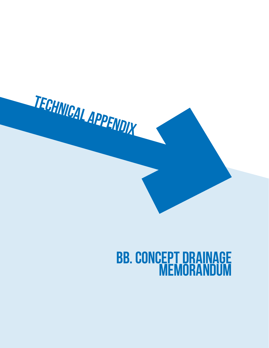

# **BB. Concept Drainage Memorandum**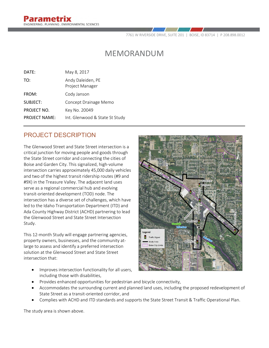7761 W RIVERSIDE DRIVE, SUITE 201 | BOISE, ID 83714 | P 208.898.0012

# MEMORANDUM

| May 8, 2017                          |
|--------------------------------------|
| Andy Daleiden, PE<br>Project Manager |
| Cody Janson                          |
| Concept Drainage Memo                |
| Key No. 20049                        |
| Int. Glenwood & State St Study       |
|                                      |

## PROJECT DESCRIPTION

The Glenwood Street and State Street intersection is a critical junction for moving people and goods through the State Street corridor and connecting the cities of Boise and Garden City. This signalized, high-volume intersection carries approximately 45,000 daily vehicles and two of the highest transit ridership routes (#9 and #9X) in the Treasure Valley. The adjacent land uses serve as a regional commercial hub and evolving transit-oriented development (TOD) node. The intersection has a diverse set of challenges, which have led to the Idaho Transportation Department (ITD) and Ada County Highway District (ACHD) partnering to lead the Glenwood Street and State Street Intersection Study.

This 12-month Study will engage partnering agencies, property owners, businesses, and the community atlarge to assess and identify a preferred intersection solution at the Glenwood Street and State Street intersection that:

- Improves intersection functionality for all users, including those with disabilities,
- B Traffic Sinna
- Provides enhanced opportunities for pedestrian and bicycle connectivity,
- Accommodates the surrounding current and planned land uses, including the proposed redevelopment of State Street as a transit-oriented corridor, and
- Complies with ACHD and ITD standards and supports the State Street Transit & Traffic Operational Plan.

The study area is shown above.

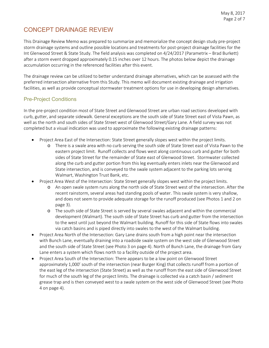# CONCEPT DRAINAGE REVIEW

This Drainage Review Memo was prepared to summarize and memorialize the concept design study pre-project storm drainage systems and outline possible locations and treatments for post-project drainage facilities for the Int Glenwood Street & State Study. The field analysis was completed on 4/24/2017 (Parametrix – Brad Burkett) after a storm event dropped approximately 0.15 inches over 12 hours. The photos below depict the drainage accumulation occurring in the referenced facilities after this event.

The drainage review can be utilized to better understand drainage alternatives, which can be assessed with the preferred intersection alternative from this Study. This memo will document existing drainage and irrigation facilities, as well as provide conceptual stormwater treatment options for use in developing design alternatives.

#### Pre-Project Conditions

In the pre-project condition most of State Street and Glenwood Street are urban road sections developed with curb, gutter, and separate sidewalk. General exceptions are the south side of State Street east of Vista Pawn, as well as the north and south sides of State Street west of Glenwood Street/Gary Lane. A field survey was not completed but a visual indication was used to approximate the following existing drainage patterns:

- Project Area East of the Intersection: State Street generally slopes west within the project limits.
	- o There is a swale area with no curb serving the south side of State Street east of Vista Pawn to the eastern project limit. Runoff collects and flows west along continuous curb and gutter for both sides of State Street for the remainder of State east of Glenwood Street. Stormwater collected along the curb and gutter portion from this leg eventually enters inlets near the Glenwood and State intersection, and is conveyed to the swale system adjacent to the parking lots serving Walmart, Washington Trust Bank, etc.
- Project Area West of the Intersection: State Street generally slopes west within the project limits.
	- o An open swale system runs along the north side of State Street west of the intersection. After the recent rainstorm, several areas had standing pools of water. This swale system is very shallow, and does not seem to provide adequate storage for the runoff produced (see Photos 1 and 2 on page 3).
	- o The south side of State Street is served by several swales adjacent and within the commercial development (Walmart). The south side of State Street has curb and gutter from the intersection to the west until just beyond the Walmart building. Runoff for this side of State flows into swales via catch basins and is piped directly into swales to the west of the Walmart building.
- Project Area North of the Intersection: Gary Lane drains south from a high point near the intersection with Bunch Lane, eventually draining into a roadside swale system on the west side of Glenwood Street and the south side of State Street (see Photo 3 on page 4). North of Bunch Lane, the drainage from Gary Lane enters a system which flows north to a facility outside of the project area.
- Project Area South of the Intersection: There appears to be a low point on Glenwood Street approximately 1,000' south of the intersection (near Burger King) that collects runoff from a portion of the east leg of the intersection (State Street) as well as the runoff from the east side of Glenwood Street for much of the south leg of the project limits. The drainage is collected via a catch basin / sediment grease trap and is then conveyed west to a swale system on the west side of Glenwood Street (see Photo 4 on page 4).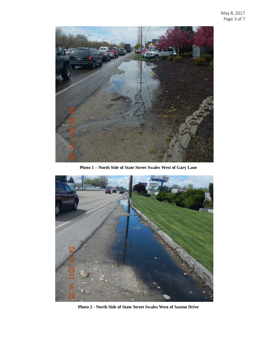

**Photo 1 – North Side of State Street Swales West of Gary Lane**



**Photo 2 - North Side of State Street Swales West of Saxton Drive**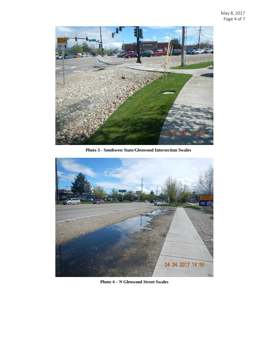

**Photo 3 - Southwest State/Glenwood Intersection Swales**



**Photo 4 – N Glenwood Street Swales**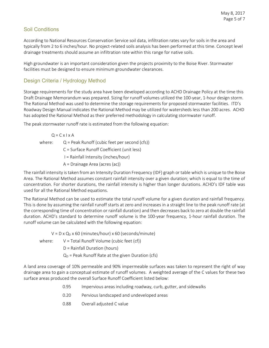#### Soil Conditions

According to National Resources Conservation Service soil data, infiltration rates vary for soils in the area and typically from 2 to 6 inches/hour. No project-related soils analysis has been performed at this time. Concept level drainage treatments should assume an infiltration rate within this range for native soils.

High groundwater is an important consideration given the projects proximity to the Boise River. Stormwater facilities must be designed to ensure minimum groundwater clearances.

#### Design Criteria / Hydrology Method

Storage requirements for the study area have been developed according to ACHD Drainage Policy at the time this Draft Drainage Memorandum was prepared. Sizing for runoff volumes utilized the 100-year, 1-hour design storm. The Rational Method was used to determine the storage requirements for proposed stormwater facilities. ITD's Roadway Design Manual indicates the Rational Method may be utilized for watersheds less than 200 acres. ACHD has adopted the Rational Method as their preferred methodology in calculating stormwater runoff.

The peak stormwater runoff rate is estimated from the following equation:

 $Q = C \times I \times A$ where:  $Q =$  Peak Runoff (cubic feet per second (cfs)) C = Surface Runoff Coefficient (unit less) I = Rainfall Intensity (inches/hour) A = Drainage Area (acres (ac))

The rainfall intensity is taken from an Intensity Duration Frequency (IDF) graph or table which is unique to the Boise Area. The Rational Method assumes constant rainfall intensity over a given duration; which is equal to the time of concentration. For shorter durations, the rainfall intensity is higher than longer durations. ACHD's IDF table was used for all the Rational Method equations.

The Rational Method can be used to estimate the total runoff volume for a given duration and rainfall frequency. This is done by assuming the rainfall runoff starts at zero and increases in a straight line to the peak runoff rate (at the corresponding time of concentration or rainfall duration) and then decreases back to zero at double the rainfall duration. ACHD's standard to determine runoff volume is the 100-year frequency, 1-hour rainfall duration. The runoff volume can be calculated with the following equation:

 $V = D \times Q_D \times 60$  (minutes/hour) x 60 (seconds/minute)

where:  $V = Total$  Runoff Volume (cubic feet (cf))

D = Rainfall Duration (hours)

 $Q_D$  = Peak Runoff Rate at the given Duration (cfs)

A land area coverage of 10% permeable and 90% impermeable surfaces was taken to represent the right of way drainage area to gain a conceptual estimate of runoff volumes. A weighted average of the C values for these two surface areas produced the overall Surface Runoff Coefficient listed below:

- 0.95 Impervious areas including roadway, curb, gutter, and sidewalks
- 0.20 Pervious landscaped and undeveloped areas
- 0.88 Overall adjusted C value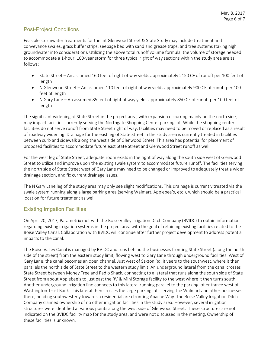#### Post-Project Conditions

Feasible stormwater treatments for the Int Glenwood Street & State Study may include treatment and conveyance swales, grass buffer strips, seepage bed with sand and grease traps, and tree systems (taking high groundwater into consideration). Utilizing the above total runoff volume formula, the volume of storage needed to accommodate a 1-hour, 100-year storm for three typical right of way sections within the study area are as follows:

- State Street An assumed 160 feet of right of way yields approximately 2150 CF of runoff per 100 feet of length
- N Glenwood Street An assumed 110 feet of right of way yields approximately 900 CF of runoff per 100 feet of length
- N Gary Lane An assumed 85 feet of right of way yields approximately 850 CF of runoff per 100 feet of length

The significant widening of State Street in the project area, with expansion occurring mainly on the north side, may impact facilities currently serving the Northgate Shopping Center parking lot. While the shopping center facilities do not serve runoff from State Street right of way, facilities may need to be moved or replaced as a result of roadway widening. Drainage for the east leg of State Street in the study area is currently treated in facilities between curb and sidewalk along the west side of Glenwood Street. This area has potential for placement of proposed facilities to accommodate future east State Street and Glenwood Street runoff as well.

For the west leg of State Street, adequate room exists in the right of way along the south side west of Glenwood Street to utilize and improve upon the existing swale system to accommodate future runoff. The facilities serving the north side of State Street west of Gary Lane may need to be changed or improved to adequately treat a wider drainage section, and fix current drainage issues.

The N Gary Lane leg of the study area may only see slight modifications. This drainage is currently treated via the swale system running along a large parking area (serving Walmart, Applebee's, etc.), which should be a practical location for future treatment as well.

#### Existing Irrigation Facilities

On April 20, 2017, Parametrix met with the Boise Valley Irrigation Ditch Company (BVIDC) to obtain information regarding existing irrigation systems in the project area with the goal of retaining existing facilities related to the Boise Valley Canal. Collaboration with BVIDC will continue after further project development to address potential impacts to the canal.

The Boise Valley Canal is managed by BVIDC and runs behind the businesses fronting State Street (along the north side of the street) from the eastern study limit, flowing west to Gary Lane through underground facilities. West of Gary Lane, the canal becomes an open channel. Just west of Saxton Rd, it veers to the southwest, where it then parallels the north side of State Street to the western study limit. An underground lateral from the canal crosses State Street between Money Tree and Radio Shack, connecting to a lateral that runs along the south side of State Street from about Applebee's to just past the RV & Mini Storage facility to the west where it then turns south. Another underground irrigation line connects to this lateral running parallel to the parking lot entrance west of Washington Trust Bank. This lateral then crosses the large parking lots serving the Walmart and other businesses there, heading southwesterly towards a residential area fronting Apache Way. The Boise Valley Irrigation Ditch Company claimed ownership of no other irrigation facilities in the study area. However, several irrigation structures were identified at various points along the west side of Glenwood Street. These structures are not indicated on the BVIDC facility map for the study area, and were not discussed in the meeting. Ownership of these facilities is unknown.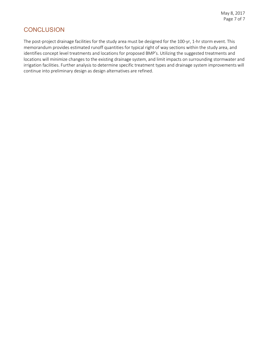### **CONCLUSION**

The post-project drainage facilities for the study area must be designed for the 100-yr, 1-hr storm event. This memorandum provides estimated runoff quantities for typical right of way sections within the study area, and identifies concept level treatments and locations for proposed BMP's. Utilizing the suggested treatments and locations will minimize changes to the existing drainage system, and limit impacts on surrounding stormwater and irrigation facilities. Further analysis to determine specific treatment types and drainage system improvements will continue into preliminary design as design alternatives are refined.